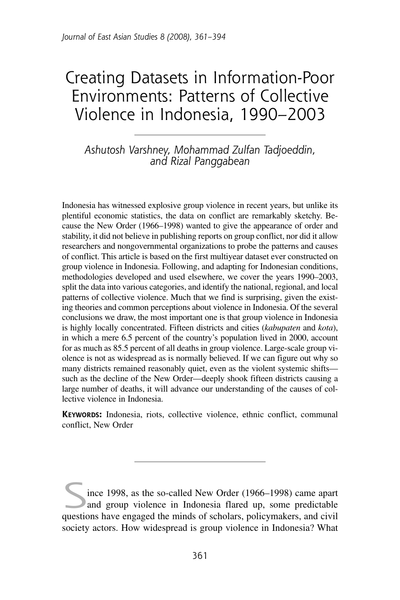# Creating Datasets in Information-Poor Environments: Patterns of Collective Violence in Indonesia, 1990–2003

# *Ashutosh Varshney, Mohammad Zulfan Tadjoeddin, and Rizal Panggabean*

Indonesia has witnessed explosive group violence in recent years, but unlike its plentiful economic statistics, the data on conflict are remarkably sketchy. Because the New Order (1966–1998) wanted to give the appearance of order and stability, it did not believe in publishing reports on group conflict, nor did it allow researchers and nongovernmental organizations to probe the patterns and causes of conflict. This article is based on the first multiyear dataset ever constructed on group violence in Indonesia. Following, and adapting for Indonesian conditions, methodologies developed and used elsewhere, we cover the years 1990–2003, split the data into various categories, and identify the national, regional, and local patterns of collective violence. Much that we find is surprising, given the existing theories and common perceptions about violence in Indonesia. Of the several conclusions we draw, the most important one is that group violence in Indonesia is highly locally concentrated. Fifteen districts and cities (*kabupaten* and *kota*), in which a mere 6.5 percent of the country's population lived in 2000, account for as much as 85.5 percent of all deaths in group violence. Large-scale group violence is not as widespread as is normally believed. If we can figure out why so many districts remained reasonably quiet, even as the violent systemic shifts such as the decline of the New Order—deeply shook fifteen districts causing a large number of deaths, it will advance our understanding of the causes of collective violence in Indonesia.

**KEYWORDS:** Indonesia, riots, collective violence, ethnic conflict, communal conflict, New Order

ince 1998, as the so-called New Order (1966–1998) came apart and group violence in Indonesia flared up, some predictable questions have engaged the minds of scholars, policymakers, and civil society actors. How widespread is group violence in Indonesia? What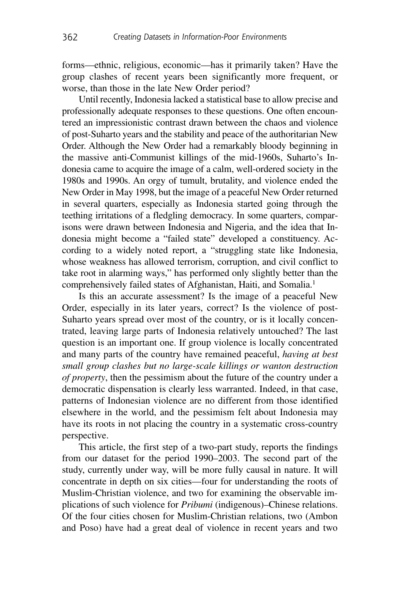forms—ethnic, religious, economic—has it primarily taken? Have the group clashes of recent years been significantly more frequent, or worse, than those in the late New Order period?

Until recently, Indonesia lacked a statistical base to allow precise and professionally adequate responses to these questions. One often encountered an impressionistic contrast drawn between the chaos and violence of post-Suharto years and the stability and peace of the authoritarian New Order. Although the New Order had a remarkably bloody beginning in the massive anti-Communist killings of the mid-1960s, Suharto's Indonesia came to acquire the image of a calm, well-ordered society in the 1980s and 1990s. An orgy of tumult, brutality, and violence ended the New Order in May 1998, but the image of a peaceful New Order returned in several quarters, especially as Indonesia started going through the teething irritations of a fledgling democracy. In some quarters, comparisons were drawn between Indonesia and Nigeria, and the idea that Indonesia might become a "failed state" developed a constituency. According to a widely noted report, a "struggling state like Indonesia, whose weakness has allowed terrorism, corruption, and civil conflict to take root in alarming ways," has performed only slightly better than the comprehensively failed states of Afghanistan, Haiti, and Somalia.1

Is this an accurate assessment? Is the image of a peaceful New Order, especially in its later years, correct? Is the violence of post-Suharto years spread over most of the country, or is it locally concentrated, leaving large parts of Indonesia relatively untouched? The last question is an important one. If group violence is locally concentrated and many parts of the country have remained peaceful, *having at best small group clashes but no large-scale killings or wanton destruction of property*, then the pessimism about the future of the country under a democratic dispensation is clearly less warranted. Indeed, in that case, patterns of Indonesian violence are no different from those identified elsewhere in the world, and the pessimism felt about Indonesia may have its roots in not placing the country in a systematic cross-country perspective.

This article, the first step of a two-part study, reports the findings from our dataset for the period 1990–2003. The second part of the study, currently under way, will be more fully causal in nature. It will concentrate in depth on six cities—four for understanding the roots of Muslim-Christian violence, and two for examining the observable implications of such violence for *Pribumi* (indigenous)–Chinese relations. Of the four cities chosen for Muslim-Christian relations, two (Ambon and Poso) have had a great deal of violence in recent years and two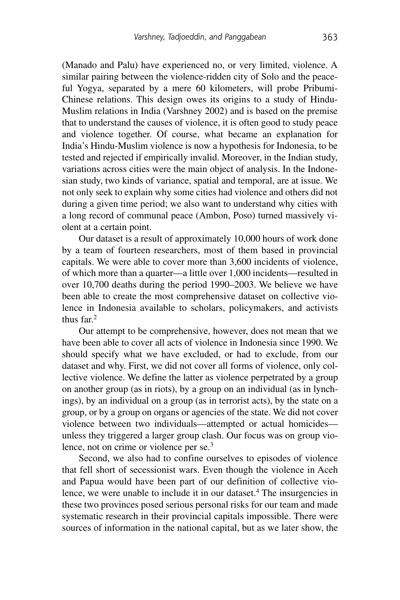(Manado and Palu) have experienced no, or very limited, violence. A similar pairing between the violence-ridden city of Solo and the peaceful Yogya, separated by a mere 60 kilometers, will probe Pribumi-Chinese relations. This design owes its origins to a study of Hindu-Muslim relations in India (Varshney 2002) and is based on the premise that to understand the causes of violence, it is often good to study peace and violence together. Of course, what became an explanation for India's Hindu-Muslim violence is now a hypothesis for Indonesia, to be tested and rejected if empirically invalid. Moreover, in the Indian study, variations across cities were the main object of analysis. In the Indonesian study, two kinds of variance, spatial and temporal, are at issue. We not only seek to explain why some cities had violence and others did not during a given time period; we also want to understand why cities with a long record of communal peace (Ambon, Poso) turned massively violent at a certain point.

Our dataset is a result of approximately 10,000 hours of work done by a team of fourteen researchers, most of them based in provincial capitals. We were able to cover more than 3,600 incidents of violence, of which more than a quarter—a little over 1,000 incidents—resulted in over 10,700 deaths during the period 1990–2003. We believe we have been able to create the most comprehensive dataset on collective violence in Indonesia available to scholars, policymakers, and activists thus far.2

Our attempt to be comprehensive, however, does not mean that we have been able to cover all acts of violence in Indonesia since 1990. We should specify what we have excluded, or had to exclude, from our dataset and why. First, we did not cover all forms of violence, only collective violence. We define the latter as violence perpetrated by a group on another group (as in riots), by a group on an individual (as in lynchings), by an individual on a group (as in terrorist acts), by the state on a group, or by a group on organs or agencies of the state. We did not cover violence between two individuals—attempted or actual homicides unless they triggered a larger group clash. Our focus was on group violence, not on crime or violence per se.3

Second, we also had to confine ourselves to episodes of violence that fell short of secessionist wars. Even though the violence in Aceh and Papua would have been part of our definition of collective violence, we were unable to include it in our dataset.<sup>4</sup> The insurgencies in these two provinces posed serious personal risks for our team and made systematic research in their provincial capitals impossible. There were sources of information in the national capital, but as we later show, the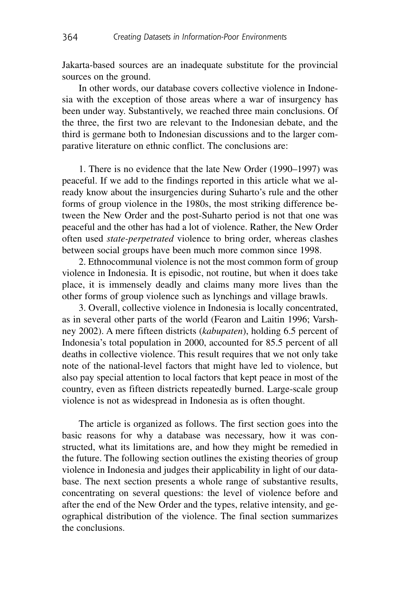Jakarta-based sources are an inadequate substitute for the provincial sources on the ground.

In other words, our database covers collective violence in Indonesia with the exception of those areas where a war of insurgency has been under way. Substantively, we reached three main conclusions. Of the three, the first two are relevant to the Indonesian debate, and the third is germane both to Indonesian discussions and to the larger comparative literature on ethnic conflict. The conclusions are:

1. There is no evidence that the late New Order (1990–1997) was peaceful. If we add to the findings reported in this article what we already know about the insurgencies during Suharto's rule and the other forms of group violence in the 1980s, the most striking difference between the New Order and the post-Suharto period is not that one was peaceful and the other has had a lot of violence. Rather, the New Order often used *state-perpetrated* violence to bring order, whereas clashes between social groups have been much more common since 1998.

2. Ethnocommunal violence is not the most common form of group violence in Indonesia. It is episodic, not routine, but when it does take place, it is immensely deadly and claims many more lives than the other forms of group violence such as lynchings and village brawls.

3. Overall, collective violence in Indonesia is locally concentrated, as in several other parts of the world (Fearon and Laitin 1996; Varshney 2002). A mere fifteen districts (*kabupaten*), holding 6.5 percent of Indonesia's total population in 2000, accounted for 85.5 percent of all deaths in collective violence. This result requires that we not only take note of the national-level factors that might have led to violence, but also pay special attention to local factors that kept peace in most of the country, even as fifteen districts repeatedly burned. Large-scale group violence is not as widespread in Indonesia as is often thought.

The article is organized as follows. The first section goes into the basic reasons for why a database was necessary, how it was constructed, what its limitations are, and how they might be remedied in the future. The following section outlines the existing theories of group violence in Indonesia and judges their applicability in light of our database. The next section presents a whole range of substantive results, concentrating on several questions: the level of violence before and after the end of the New Order and the types, relative intensity, and geographical distribution of the violence. The final section summarizes the conclusions.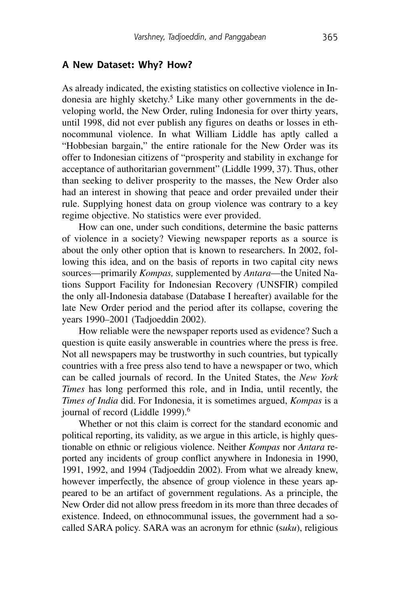### **A New Dataset: Why? How?**

As already indicated, the existing statistics on collective violence in Indonesia are highly sketchy.<sup>5</sup> Like many other governments in the developing world, the New Order, ruling Indonesia for over thirty years, until 1998, did not ever publish any figures on deaths or losses in ethnocommunal violence. In what William Liddle has aptly called a "Hobbesian bargain," the entire rationale for the New Order was its offer to Indonesian citizens of "prosperity and stability in exchange for acceptance of authoritarian government" (Liddle 1999, 37). Thus, other than seeking to deliver prosperity to the masses, the New Order also had an interest in showing that peace and order prevailed under their rule. Supplying honest data on group violence was contrary to a key regime objective. No statistics were ever provided.

How can one, under such conditions, determine the basic patterns of violence in a society? Viewing newspaper reports as a source is about the only other option that is known to researchers. In 2002, following this idea, and on the basis of reports in two capital city news sources—primarily *Kompas,* supplemented by *Antara*—the United Nations Support Facility for Indonesian Recovery *(*UNSFIR) compiled the only all-Indonesia database (Database I hereafter) available for the late New Order period and the period after its collapse, covering the years 1990–2001 (Tadjoeddin 2002).

How reliable were the newspaper reports used as evidence? Such a question is quite easily answerable in countries where the press is free. Not all newspapers may be trustworthy in such countries, but typically countries with a free press also tend to have a newspaper or two, which can be called journals of record. In the United States, the *New York Times* has long performed this role, and in India, until recently, the *Times of India* did. For Indonesia, it is sometimes argued, *Kompas* is a journal of record (Liddle 1999).<sup>6</sup>

Whether or not this claim is correct for the standard economic and political reporting, its validity, as we argue in this article, is highly questionable on ethnic or religious violence. Neither *Kompas* nor *Antara* reported any incidents of group conflict anywhere in Indonesia in 1990, 1991, 1992, and 1994 (Tadjoeddin 2002). From what we already knew, however imperfectly, the absence of group violence in these years appeared to be an artifact of government regulations. As a principle, the New Order did not allow press freedom in its more than three decades of existence. Indeed, on ethnocommunal issues, the government had a socalled SARA policy. SARA was an acronym for ethnic **(**s*uku*), religious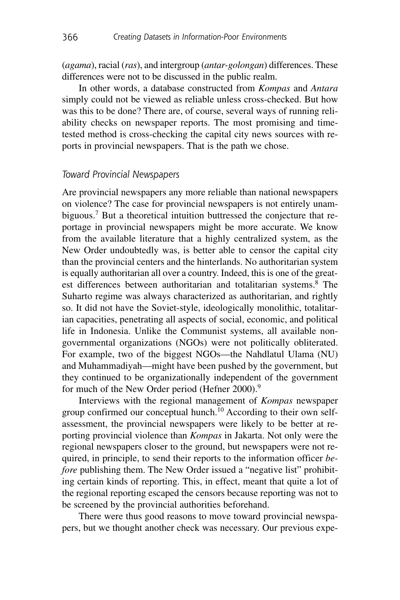(*agama*), racial (*ras*), and intergroup (*antar-golongan*) differences. These differences were not to be discussed in the public realm.

In other words, a database constructed from *Kompas* and *Antara* simply could not be viewed as reliable unless cross-checked. But how was this to be done? There are, of course, several ways of running reliability checks on newspaper reports. The most promising and timetested method is cross-checking the capital city news sources with reports in provincial newspapers. That is the path we chose.

### *Toward Provincial Newspapers*

Are provincial newspapers any more reliable than national newspapers on violence? The case for provincial newspapers is not entirely unambiguous.7 But a theoretical intuition buttressed the conjecture that reportage in provincial newspapers might be more accurate. We know from the available literature that a highly centralized system, as the New Order undoubtedly was, is better able to censor the capital city than the provincial centers and the hinterlands. No authoritarian system is equally authoritarian all over a country. Indeed, this is one of the greatest differences between authoritarian and totalitarian systems.<sup>8</sup> The Suharto regime was always characterized as authoritarian, and rightly so. It did not have the Soviet-style, ideologically monolithic, totalitarian capacities, penetrating all aspects of social, economic, and political life in Indonesia. Unlike the Communist systems, all available nongovernmental organizations (NGOs) were not politically obliterated. For example, two of the biggest NGOs—the Nahdlatul Ulama (NU) and Muhammadiyah—might have been pushed by the government, but they continued to be organizationally independent of the government for much of the New Order period (Hefner 2000).9

Interviews with the regional management of *Kompas* newspaper group confirmed our conceptual hunch.<sup>10</sup> According to their own selfassessment, the provincial newspapers were likely to be better at reporting provincial violence than *Kompas* in Jakarta. Not only were the regional newspapers closer to the ground, but newspapers were not required, in principle, to send their reports to the information officer *before* publishing them. The New Order issued a "negative list" prohibiting certain kinds of reporting. This, in effect, meant that quite a lot of the regional reporting escaped the censors because reporting was not to be screened by the provincial authorities beforehand.

There were thus good reasons to move toward provincial newspapers, but we thought another check was necessary. Our previous expe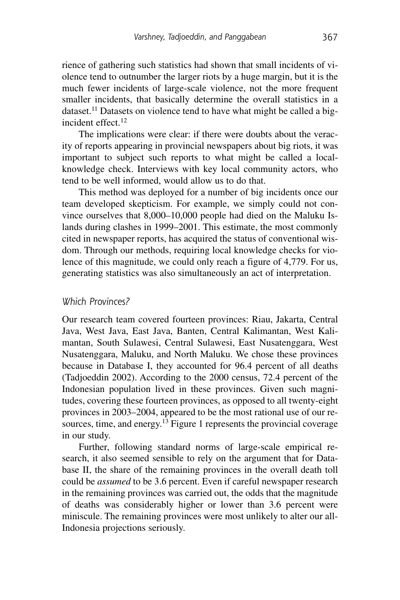rience of gathering such statistics had shown that small incidents of violence tend to outnumber the larger riots by a huge margin, but it is the much fewer incidents of large-scale violence, not the more frequent smaller incidents, that basically determine the overall statistics in a dataset.11 Datasets on violence tend to have what might be called a bigincident effect.12

The implications were clear: if there were doubts about the veracity of reports appearing in provincial newspapers about big riots, it was important to subject such reports to what might be called a localknowledge check. Interviews with key local community actors, who tend to be well informed, would allow us to do that.

This method was deployed for a number of big incidents once our team developed skepticism. For example, we simply could not convince ourselves that 8,000–10,000 people had died on the Maluku Islands during clashes in 1999–2001. This estimate, the most commonly cited in newspaper reports, has acquired the status of conventional wisdom. Through our methods, requiring local knowledge checks for violence of this magnitude, we could only reach a figure of 4,779. For us, generating statistics was also simultaneously an act of interpretation.

### *Which Provinces?*

Our research team covered fourteen provinces: Riau, Jakarta, Central Java, West Java, East Java, Banten, Central Kalimantan, West Kalimantan, South Sulawesi, Central Sulawesi, East Nusatenggara, West Nusatenggara, Maluku, and North Maluku. We chose these provinces because in Database I, they accounted for 96.4 percent of all deaths (Tadjoeddin 2002). According to the 2000 census, 72.4 percent of the Indonesian population lived in these provinces. Given such magnitudes, covering these fourteen provinces, as opposed to all twenty-eight provinces in 2003–2004, appeared to be the most rational use of our resources, time, and energy.<sup>13</sup> Figure 1 represents the provincial coverage in our study.

Further, following standard norms of large-scale empirical research, it also seemed sensible to rely on the argument that for Database II, the share of the remaining provinces in the overall death toll could be *assumed* to be 3.6 percent. Even if careful newspaper research in the remaining provinces was carried out, the odds that the magnitude of deaths was considerably higher or lower than 3.6 percent were miniscule. The remaining provinces were most unlikely to alter our all-Indonesia projections seriously.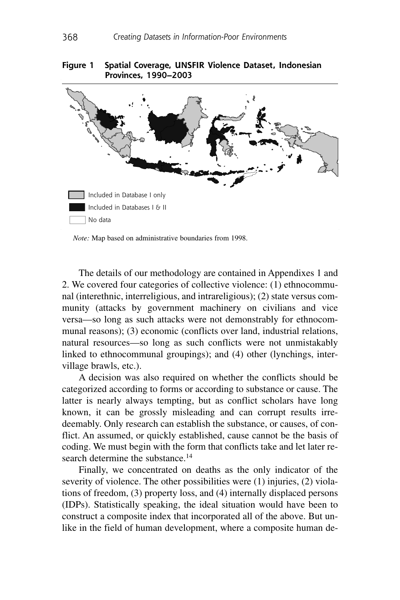**Figure 1 Spatial Coverage, UNSFIR Violence Dataset, Indonesian Provinces, 1990–2003**



*Note:* Map based on administrative boundaries from 1998.

The details of our methodology are contained in Appendixes 1 and 2. We covered four categories of collective violence: (1) ethnocommunal (interethnic, interreligious, and intrareligious); (2) state versus community (attacks by government machinery on civilians and vice versa—so long as such attacks were not demonstrably for ethnocommunal reasons); (3) economic (conflicts over land, industrial relations, natural resources—so long as such conflicts were not unmistakably linked to ethnocommunal groupings); and (4) other (lynchings, intervillage brawls, etc.).

A decision was also required on whether the conflicts should be categorized according to forms or according to substance or cause. The latter is nearly always tempting, but as conflict scholars have long known, it can be grossly misleading and can corrupt results irredeemably. Only research can establish the substance, or causes, of conflict. An assumed, or quickly established, cause cannot be the basis of coding. We must begin with the form that conflicts take and let later research determine the substance.<sup>14</sup>

Finally, we concentrated on deaths as the only indicator of the severity of violence. The other possibilities were (1) injuries, (2) violations of freedom, (3) property loss, and (4) internally displaced persons (IDPs). Statistically speaking, the ideal situation would have been to construct a composite index that incorporated all of the above. But unlike in the field of human development, where a composite human de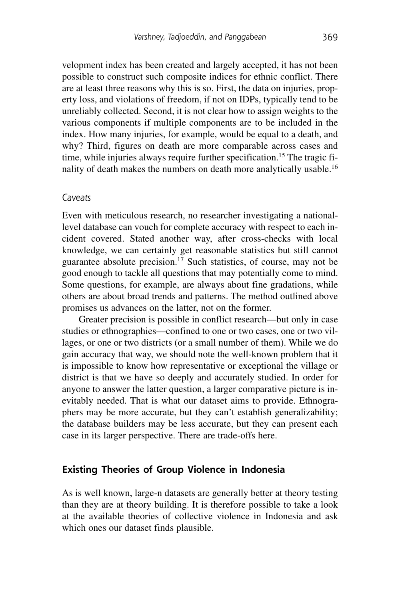velopment index has been created and largely accepted, it has not been possible to construct such composite indices for ethnic conflict. There are at least three reasons why this is so. First, the data on injuries, property loss, and violations of freedom, if not on IDPs, typically tend to be unreliably collected. Second, it is not clear how to assign weights to the various components if multiple components are to be included in the index. How many injuries, for example, would be equal to a death, and why? Third, figures on death are more comparable across cases and time, while injuries always require further specification.<sup>15</sup> The tragic finality of death makes the numbers on death more analytically usable.<sup>16</sup>

### *Caveats*

Even with meticulous research, no researcher investigating a nationallevel database can vouch for complete accuracy with respect to each incident covered. Stated another way, after cross-checks with local knowledge, we can certainly get reasonable statistics but still cannot guarantee absolute precision.<sup>17</sup> Such statistics, of course, may not be good enough to tackle all questions that may potentially come to mind. Some questions, for example, are always about fine gradations, while others are about broad trends and patterns. The method outlined above promises us advances on the latter, not on the former.

Greater precision is possible in conflict research—but only in case studies or ethnographies—confined to one or two cases, one or two villages, or one or two districts (or a small number of them). While we do gain accuracy that way, we should note the well-known problem that it is impossible to know how representative or exceptional the village or district is that we have so deeply and accurately studied. In order for anyone to answer the latter question, a larger comparative picture is inevitably needed. That is what our dataset aims to provide. Ethnographers may be more accurate, but they can't establish generalizability; the database builders may be less accurate, but they can present each case in its larger perspective. There are trade-offs here.

### **Existing Theories of Group Violence in Indonesia**

As is well known, large-n datasets are generally better at theory testing than they are at theory building. It is therefore possible to take a look at the available theories of collective violence in Indonesia and ask which ones our dataset finds plausible.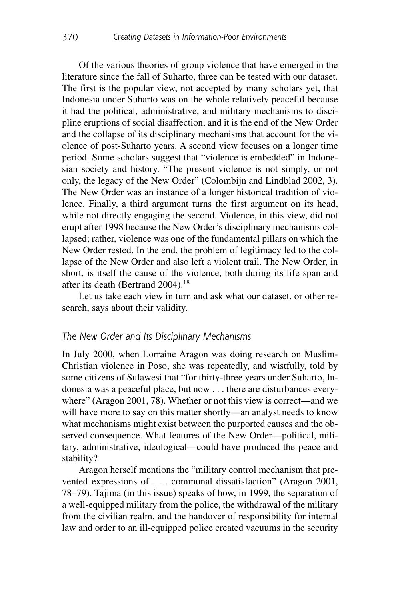Of the various theories of group violence that have emerged in the literature since the fall of Suharto, three can be tested with our dataset. The first is the popular view, not accepted by many scholars yet, that Indonesia under Suharto was on the whole relatively peaceful because it had the political, administrative, and military mechanisms to discipline eruptions of social disaffection, and it is the end of the New Order and the collapse of its disciplinary mechanisms that account for the violence of post-Suharto years. A second view focuses on a longer time period. Some scholars suggest that "violence is embedded" in Indonesian society and history. "The present violence is not simply, or not only, the legacy of the New Order" (Colombijn and Lindblad 2002, 3). The New Order was an instance of a longer historical tradition of violence. Finally, a third argument turns the first argument on its head, while not directly engaging the second. Violence, in this view, did not erupt after 1998 because the New Order's disciplinary mechanisms collapsed; rather, violence was one of the fundamental pillars on which the New Order rested. In the end, the problem of legitimacy led to the collapse of the New Order and also left a violent trail. The New Order, in short, is itself the cause of the violence, both during its life span and after its death (Bertrand 2004).<sup>18</sup>

Let us take each view in turn and ask what our dataset, or other research, says about their validity.

### *The New Order and Its Disciplinary Mechanisms*

In July 2000, when Lorraine Aragon was doing research on Muslim-Christian violence in Poso, she was repeatedly, and wistfully, told by some citizens of Sulawesi that "for thirty-three years under Suharto, Indonesia was a peaceful place, but now . . . there are disturbances everywhere" (Aragon 2001, 78). Whether or not this view is correct—and we will have more to say on this matter shortly—an analyst needs to know what mechanisms might exist between the purported causes and the observed consequence. What features of the New Order—political, military, administrative, ideological—could have produced the peace and stability?

Aragon herself mentions the "military control mechanism that prevented expressions of . . . communal dissatisfaction" (Aragon 2001, 78–79). Tajima (in this issue) speaks of how, in 1999, the separation of a well-equipped military from the police, the withdrawal of the military from the civilian realm, and the handover of responsibility for internal law and order to an ill-equipped police created vacuums in the security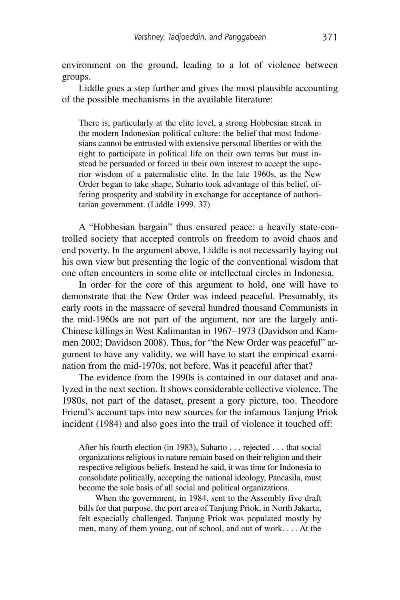environment on the ground, leading to a lot of violence between groups.

Liddle goes a step further and gives the most plausible accounting of the possible mechanisms in the available literature:

There is, particularly at the elite level, a strong Hobbesian streak in the modern Indonesian political culture: the belief that most Indonesians cannot be entrusted with extensive personal liberties or with the right to participate in political life on their own terms but must instead be persuaded or forced in their own interest to accept the superior wisdom of a paternalistic elite. In the late 1960s, as the New Order began to take shape, Suharto took advantage of this belief, offering prosperity and stability in exchange for acceptance of authoritarian government. (Liddle 1999, 37)

A "Hobbesian bargain" thus ensured peace: a heavily state-controlled society that accepted controls on freedom to avoid chaos and end poverty. In the argument above, Liddle is not necessarily laying out his own view but presenting the logic of the conventional wisdom that one often encounters in some elite or intellectual circles in Indonesia.

In order for the core of this argument to hold, one will have to demonstrate that the New Order was indeed peaceful. Presumably, its early roots in the massacre of several hundred thousand Communists in the mid-1960s are not part of the argument, nor are the largely anti-Chinese killings in West Kalimantan in 1967–1973 (Davidson and Kammen 2002; Davidson 2008). Thus, for "the New Order was peaceful" argument to have any validity, we will have to start the empirical examination from the mid-1970s, not before. Was it peaceful after that?

The evidence from the 1990s is contained in our dataset and analyzed in the next section. It shows considerable collective violence. The 1980s, not part of the dataset, present a gory picture, too. Theodore Friend's account taps into new sources for the infamous Tanjung Priok incident (1984) and also goes into the trail of violence it touched off:

After his fourth election (in 1983), Suharto . . . rejected . . . that social organizations religious in nature remain based on their religion and their respective religious beliefs. Instead he said, it was time for Indonesia to consolidate politically, accepting the national ideology, Pancasila, must become the sole basis of all social and political organizations.

When the government, in 1984, sent to the Assembly five draft bills for that purpose, the port area of Tanjung Priok, in North Jakarta, felt especially challenged. Tanjung Priok was populated mostly by men, many of them young, out of school, and out of work. . . . At the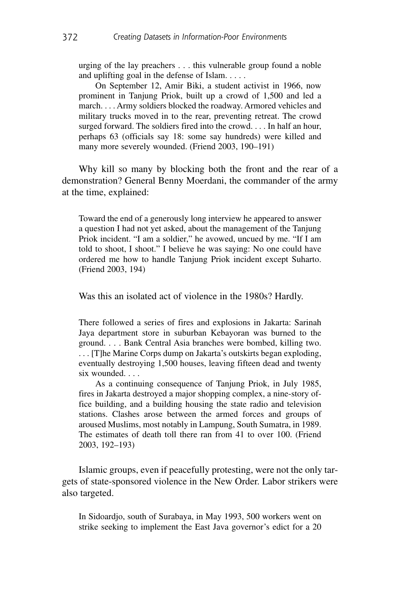urging of the lay preachers . . . this vulnerable group found a noble and uplifting goal in the defense of Islam. . . . .

On September 12, Amir Biki, a student activist in 1966, now prominent in Tanjung Priok, built up a crowd of 1,500 and led a march. . . . Army soldiers blocked the roadway. Armored vehicles and military trucks moved in to the rear, preventing retreat. The crowd surged forward. The soldiers fired into the crowd. . . . In half an hour, perhaps 63 (officials say 18: some say hundreds) were killed and many more severely wounded. (Friend 2003, 190–191)

Why kill so many by blocking both the front and the rear of a demonstration? General Benny Moerdani, the commander of the army at the time, explained:

Toward the end of a generously long interview he appeared to answer a question I had not yet asked, about the management of the Tanjung Priok incident. "I am a soldier," he avowed, uncued by me. "If I am told to shoot, I shoot." I believe he was saying: No one could have ordered me how to handle Tanjung Priok incident except Suharto. (Friend 2003, 194)

Was this an isolated act of violence in the 1980s? Hardly.

There followed a series of fires and explosions in Jakarta: Sarinah Jaya department store in suburban Kebayoran was burned to the ground. . . . Bank Central Asia branches were bombed, killing two. . . . [T]he Marine Corps dump on Jakarta's outskirts began exploding, eventually destroying 1,500 houses, leaving fifteen dead and twenty six wounded. . . .

As a continuing consequence of Tanjung Priok, in July 1985, fires in Jakarta destroyed a major shopping complex, a nine-story office building, and a building housing the state radio and television stations. Clashes arose between the armed forces and groups of aroused Muslims, most notably in Lampung, South Sumatra, in 1989. The estimates of death toll there ran from 41 to over 100. (Friend 2003, 192–193)

Islamic groups, even if peacefully protesting, were not the only targets of state-sponsored violence in the New Order. Labor strikers were also targeted.

In Sidoardjo, south of Surabaya, in May 1993, 500 workers went on strike seeking to implement the East Java governor's edict for a 20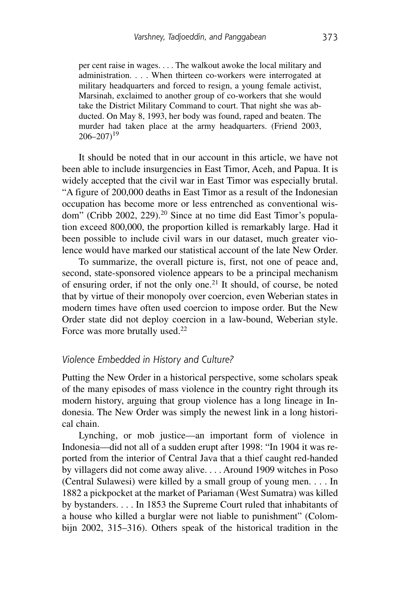per cent raise in wages. . . . The walkout awoke the local military and administration. . . . When thirteen co-workers were interrogated at military headquarters and forced to resign, a young female activist, Marsinah, exclaimed to another group of co-workers that she would take the District Military Command to court. That night she was abducted. On May 8, 1993, her body was found, raped and beaten. The murder had taken place at the army headquarters. (Friend 2003,  $206 - 207$ <sup>19</sup>

It should be noted that in our account in this article, we have not been able to include insurgencies in East Timor, Aceh, and Papua. It is widely accepted that the civil war in East Timor was especially brutal. "A figure of 200,000 deaths in East Timor as a result of the Indonesian occupation has become more or less entrenched as conventional wisdom" (Cribb 2002, 229).<sup>20</sup> Since at no time did East Timor's population exceed 800,000, the proportion killed is remarkably large. Had it been possible to include civil wars in our dataset, much greater violence would have marked our statistical account of the late New Order.

To summarize, the overall picture is, first, not one of peace and, second, state-sponsored violence appears to be a principal mechanism of ensuring order, if not the only one.21 It should, of course, be noted that by virtue of their monopoly over coercion, even Weberian states in modern times have often used coercion to impose order. But the New Order state did not deploy coercion in a law-bound, Weberian style. Force was more brutally used.<sup>22</sup>

### *Violence Embedded in History and Culture?*

Putting the New Order in a historical perspective, some scholars speak of the many episodes of mass violence in the country right through its modern history, arguing that group violence has a long lineage in Indonesia. The New Order was simply the newest link in a long historical chain.

Lynching, or mob justice—an important form of violence in Indonesia—did not all of a sudden erupt after 1998: "In 1904 it was reported from the interior of Central Java that a thief caught red-handed by villagers did not come away alive. . . . Around 1909 witches in Poso (Central Sulawesi) were killed by a small group of young men. . . . In 1882 a pickpocket at the market of Pariaman (West Sumatra) was killed by bystanders. . . . In 1853 the Supreme Court ruled that inhabitants of a house who killed a burglar were not liable to punishment" (Colombijn 2002, 315–316). Others speak of the historical tradition in the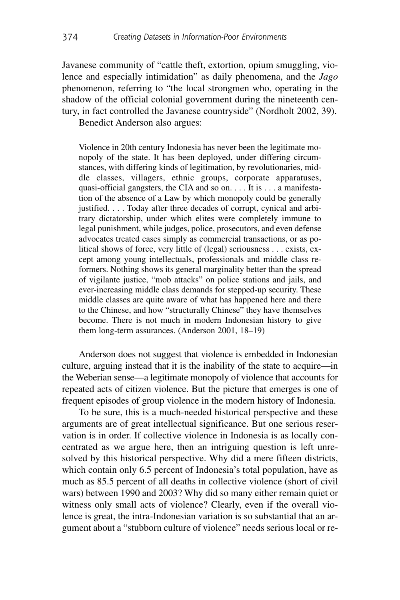Javanese community of "cattle theft, extortion, opium smuggling, violence and especially intimidation" as daily phenomena, and the *Jago* phenomenon, referring to "the local strongmen who, operating in the shadow of the official colonial government during the nineteenth century, in fact controlled the Javanese countryside" (Nordholt 2002, 39).

Benedict Anderson also argues:

Violence in 20th century Indonesia has never been the legitimate monopoly of the state. It has been deployed, under differing circumstances, with differing kinds of legitimation, by revolutionaries, middle classes, villagers, ethnic groups, corporate apparatuses, quasi-official gangsters, the CIA and so on. . . . It is . . . a manifestation of the absence of a Law by which monopoly could be generally justified. . . . Today after three decades of corrupt, cynical and arbitrary dictatorship, under which elites were completely immune to legal punishment, while judges, police, prosecutors, and even defense advocates treated cases simply as commercial transactions, or as political shows of force, very little of (legal) seriousness . . . exists, except among young intellectuals, professionals and middle class reformers. Nothing shows its general marginality better than the spread of vigilante justice, "mob attacks" on police stations and jails, and ever-increasing middle class demands for stepped-up security. These middle classes are quite aware of what has happened here and there to the Chinese, and how "structurally Chinese" they have themselves become. There is not much in modern Indonesian history to give them long-term assurances. (Anderson 2001, 18–19)

Anderson does not suggest that violence is embedded in Indonesian culture, arguing instead that it is the inability of the state to acquire—in the Weberian sense—a legitimate monopoly of violence that accounts for repeated acts of citizen violence. But the picture that emerges is one of frequent episodes of group violence in the modern history of Indonesia.

To be sure, this is a much-needed historical perspective and these arguments are of great intellectual significance. But one serious reservation is in order. If collective violence in Indonesia is as locally concentrated as we argue here, then an intriguing question is left unresolved by this historical perspective. Why did a mere fifteen districts, which contain only 6.5 percent of Indonesia's total population, have as much as 85.5 percent of all deaths in collective violence (short of civil wars) between 1990 and 2003? Why did so many either remain quiet or witness only small acts of violence? Clearly, even if the overall violence is great, the intra-Indonesian variation is so substantial that an argument about a "stubborn culture of violence" needs serious local or re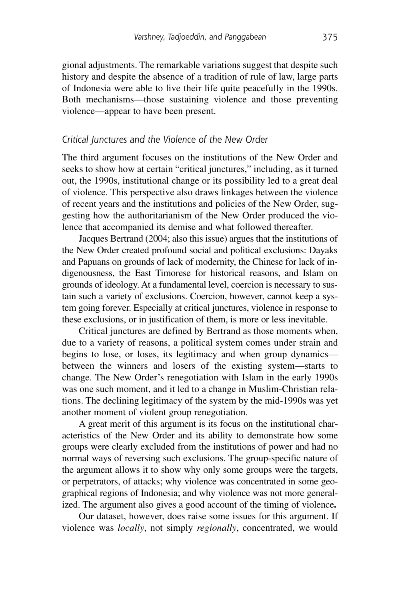gional adjustments. The remarkable variations suggest that despite such history and despite the absence of a tradition of rule of law, large parts of Indonesia were able to live their life quite peacefully in the 1990s. Both mechanisms—those sustaining violence and those preventing violence—appear to have been present.

### *Critical Junctures and the Violence of the New Order*

The third argument focuses on the institutions of the New Order and seeks to show how at certain "critical junctures," including, as it turned out, the 1990s, institutional change or its possibility led to a great deal of violence. This perspective also draws linkages between the violence of recent years and the institutions and policies of the New Order, suggesting how the authoritarianism of the New Order produced the violence that accompanied its demise and what followed thereafter.

Jacques Bertrand (2004; also this issue) argues that the institutions of the New Order created profound social and political exclusions: Dayaks and Papuans on grounds of lack of modernity, the Chinese for lack of indigenousness, the East Timorese for historical reasons, and Islam on grounds of ideology. At a fundamental level, coercion is necessary to sustain such a variety of exclusions. Coercion, however, cannot keep a system going forever. Especially at critical junctures, violence in response to these exclusions, or in justification of them, is more or less inevitable.

Critical junctures are defined by Bertrand as those moments when, due to a variety of reasons, a political system comes under strain and begins to lose, or loses, its legitimacy and when group dynamics between the winners and losers of the existing system—starts to change. The New Order's renegotiation with Islam in the early 1990s was one such moment, and it led to a change in Muslim-Christian relations. The declining legitimacy of the system by the mid-1990s was yet another moment of violent group renegotiation.

A great merit of this argument is its focus on the institutional characteristics of the New Order and its ability to demonstrate how some groups were clearly excluded from the institutions of power and had no normal ways of reversing such exclusions. The group-specific nature of the argument allows it to show why only some groups were the targets, or perpetrators, of attacks; why violence was concentrated in some geographical regions of Indonesia; and why violence was not more generalized. The argument also gives a good account of the timing of violence**.**

Our dataset, however, does raise some issues for this argument. If violence was *locally*, not simply *regionally*, concentrated, we would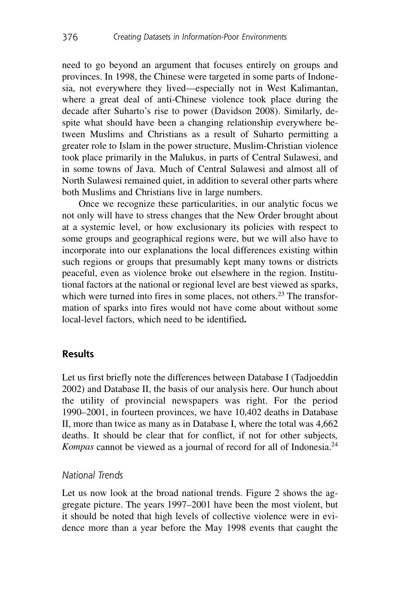need to go beyond an argument that focuses entirely on groups and provinces. In 1998, the Chinese were targeted in some parts of Indonesia, not everywhere they lived—especially not in West Kalimantan, where a great deal of anti-Chinese violence took place during the decade after Suharto's rise to power (Davidson 2008). Similarly, despite what should have been a changing relationship everywhere between Muslims and Christians as a result of Suharto permitting a greater role to Islam in the power structure, Muslim-Christian violence took place primarily in the Malukus, in parts of Central Sulawesi, and in some towns of Java. Much of Central Sulawesi and almost all of North Sulawesi remained quiet, in addition to several other parts where both Muslims and Christians live in large numbers.

Once we recognize these particularities, in our analytic focus we not only will have to stress changes that the New Order brought about at a systemic level, or how exclusionary its policies with respect to some groups and geographical regions were, but we will also have to incorporate into our explanations the local differences existing within such regions or groups that presumably kept many towns or districts peaceful, even as violence broke out elsewhere in the region. Institutional factors at the national or regional level are best viewed as sparks, which were turned into fires in some places, not others.<sup>23</sup> The transformation of sparks into fires would not have come about without some local-level factors, which need to be identified**.**

### **Results**

Let us first briefly note the differences between Database I (Tadjoeddin 2002) and Database II, the basis of our analysis here. Our hunch about the utility of provincial newspapers was right. For the period 1990–2001, in fourteen provinces, we have 10,402 deaths in Database II, more than twice as many as in Database I, where the total was 4,662 deaths. It should be clear that for conflict, if not for other subjects*, Kompas* cannot be viewed as a journal of record for all of Indonesia.24

### *National Trends*

Let us now look at the broad national trends. Figure 2 shows the aggregate picture. The years 1997–2001 have been the most violent, but it should be noted that high levels of collective violence were in evidence more than a year before the May 1998 events that caught the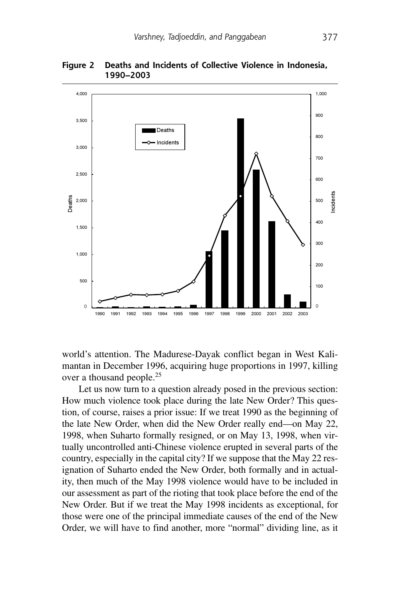

**Figure 2 Deaths and Incidents of Collective Violence in Indonesia, 1990–2003**

world's attention. The Madurese-Dayak conflict began in West Kalimantan in December 1996, acquiring huge proportions in 1997, killing over a thousand people.<sup>25</sup>

Let us now turn to a question already posed in the previous section: How much violence took place during the late New Order? This question, of course, raises a prior issue: If we treat 1990 as the beginning of the late New Order, when did the New Order really end—on May 22, 1998, when Suharto formally resigned, or on May 13, 1998, when virtually uncontrolled anti-Chinese violence erupted in several parts of the country, especially in the capital city? If we suppose that the May 22 resignation of Suharto ended the New Order, both formally and in actuality, then much of the May 1998 violence would have to be included in our assessment as part of the rioting that took place before the end of the New Order. But if we treat the May 1998 incidents as exceptional, for those were one of the principal immediate causes of the end of the New Order, we will have to find another, more "normal" dividing line, as it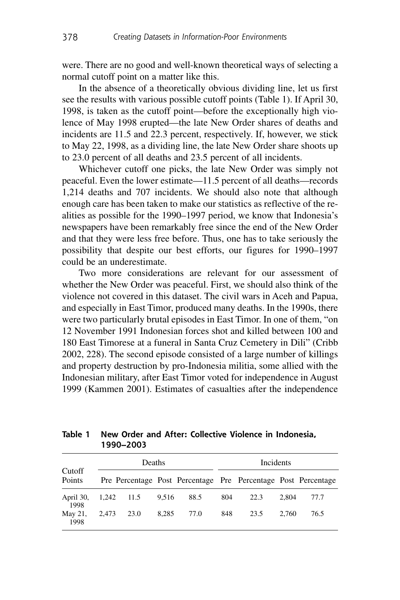were. There are no good and well-known theoretical ways of selecting a normal cutoff point on a matter like this.

In the absence of a theoretically obvious dividing line, let us first see the results with various possible cutoff points (Table 1). If April 30, 1998, is taken as the cutoff point—before the exceptionally high violence of May 1998 erupted—the late New Order shares of deaths and incidents are 11.5 and 22.3 percent, respectively. If, however, we stick to May 22, 1998, as a dividing line, the late New Order share shoots up to 23.0 percent of all deaths and 23.5 percent of all incidents.

Whichever cutoff one picks, the late New Order was simply not peaceful. Even the lower estimate—11.5 percent of all deaths—records 1,214 deaths and 707 incidents. We should also note that although enough care has been taken to make our statistics as reflective of the realities as possible for the 1990–1997 period, we know that Indonesia's newspapers have been remarkably free since the end of the New Order and that they were less free before. Thus, one has to take seriously the possibility that despite our best efforts, our figures for 1990–1997 could be an underestimate.

Two more considerations are relevant for our assessment of whether the New Order was peaceful. First, we should also think of the violence not covered in this dataset. The civil wars in Aceh and Papua, and especially in East Timor, produced many deaths. In the 1990s, there were two particularly brutal episodes in East Timor. In one of them, "on 12 November 1991 Indonesian forces shot and killed between 100 and 180 East Timorese at a funeral in Santa Cruz Cemetery in Dili" (Cribb 2002, 228). The second episode consisted of a large number of killings and property destruction by pro-Indonesia militia, some allied with the Indonesian military, after East Timor voted for independence in August 1999 (Kammen 2001). Estimates of casualties after the independence

|                              |       | Deaths |       |      |     | Incidents                                                     |       |      |
|------------------------------|-------|--------|-------|------|-----|---------------------------------------------------------------|-------|------|
| Cutoff<br>Points             |       |        |       |      |     | Pre Percentage Post Percentage Pre Percentage Post Percentage |       |      |
| April 30, 1,242 11.5<br>1998 |       |        | 9,516 | 88.5 | 804 | 22.3                                                          | 2.804 | 77.7 |
| May 21,<br>1998              | 2,473 | 23.0   | 8,285 | 77.0 | 848 | 23.5                                                          | 2.760 | 76.5 |

**Table 1 New Order and After: Collective Violence in Indonesia, 1990–2003**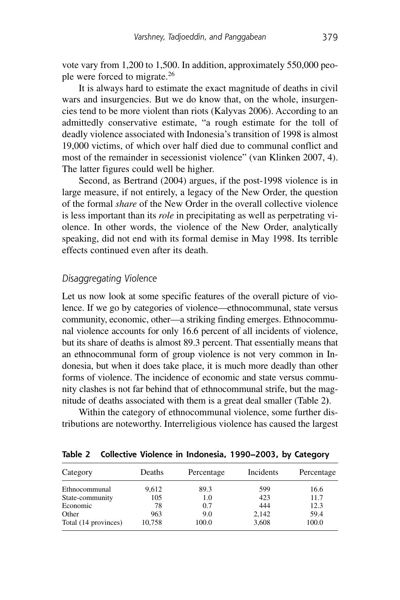vote vary from 1,200 to 1,500. In addition, approximately 550,000 people were forced to migrate.26

It is always hard to estimate the exact magnitude of deaths in civil wars and insurgencies. But we do know that, on the whole, insurgencies tend to be more violent than riots (Kalyvas 2006). According to an admittedly conservative estimate, "a rough estimate for the toll of deadly violence associated with Indonesia's transition of 1998 is almost 19,000 victims, of which over half died due to communal conflict and most of the remainder in secessionist violence" (van Klinken 2007, 4). The latter figures could well be higher.

Second, as Bertrand (2004) argues, if the post-1998 violence is in large measure, if not entirely, a legacy of the New Order, the question of the formal *share* of the New Order in the overall collective violence is less important than its *role* in precipitating as well as perpetrating violence. In other words, the violence of the New Order, analytically speaking, did not end with its formal demise in May 1998. Its terrible effects continued even after its death.

# *Disaggregating Violence*

Let us now look at some specific features of the overall picture of violence. If we go by categories of violence—ethnocommunal, state versus community, economic, other—a striking finding emerges. Ethnocommunal violence accounts for only 16.6 percent of all incidents of violence, but its share of deaths is almost 89.3 percent. That essentially means that an ethnocommunal form of group violence is not very common in Indonesia, but when it does take place, it is much more deadly than other forms of violence. The incidence of economic and state versus community clashes is not far behind that of ethnocommunal strife, but the magnitude of deaths associated with them is a great deal smaller (Table 2**)**.

Within the category of ethnocommunal violence, some further distributions are noteworthy. Interreligious violence has caused the largest

| Category             | Deaths | Percentage | Incidents | Percentage |
|----------------------|--------|------------|-----------|------------|
| Ethnocommunal        | 9.612  | 89.3       | 599       | 16.6       |
| State-community      | 105    | 1.0        | 423       | 11.7       |
| Economic             | 78     | 0.7        | 444       | 12.3       |
| Other                | 963    | 9.0        | 2,142     | 59.4       |
| Total (14 provinces) | 10,758 | 100.0      | 3,608     | 100.0      |

**Table 2 Collective Violence in Indonesia, 1990–2003, by Category**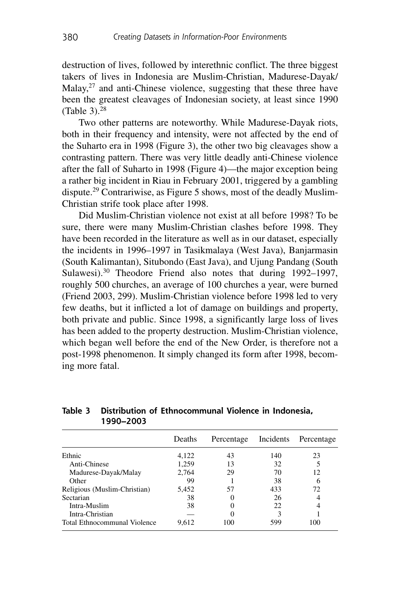destruction of lives, followed by interethnic conflict. The three biggest takers of lives in Indonesia are Muslim-Christian, Madurese-Dayak/ Malay, $27$  and anti-Chinese violence, suggesting that these three have been the greatest cleavages of Indonesian society, at least since 1990 (Table 3).28

Two other patterns are noteworthy. While Madurese-Dayak riots, both in their frequency and intensity, were not affected by the end of the Suharto era in 1998 (Figure 3), the other two big cleavages show a contrasting pattern. There was very little deadly anti-Chinese violence after the fall of Suharto in 1998 (Figure 4)—the major exception being a rather big incident in Riau in February 2001, triggered by a gambling dispute.29 Contrariwise, as Figure 5 shows, most of the deadly Muslim-Christian strife took place after 1998.

Did Muslim-Christian violence not exist at all before 1998? To be sure, there were many Muslim-Christian clashes before 1998. They have been recorded in the literature as well as in our dataset, especially the incidents in 1996–1997 in Tasikmalaya (West Java), Banjarmasin (South Kalimantan), Situbondo (East Java), and Ujung Pandang (South Sulawesi).<sup>30</sup> Theodore Friend also notes that during 1992–1997, roughly 500 churches, an average of 100 churches a year, were burned (Friend 2003, 299). Muslim-Christian violence before 1998 led to very few deaths, but it inflicted a lot of damage on buildings and property, both private and public. Since 1998, a significantly large loss of lives has been added to the property destruction. Muslim-Christian violence, which began well before the end of the New Order, is therefore not a post-1998 phenomenon. It simply changed its form after 1998, becoming more fatal.

| Deaths | Percentage | Incidents | Percentage |
|--------|------------|-----------|------------|
| 4,122  | 43         | 140       | 23         |
| 1,259  | 13         | 32        |            |
| 2,764  | 29         | 70        | 12         |
| 99     |            | 38        | 6          |
| 5,452  | 57         | 433       | 72         |
| 38     |            | 26        |            |
| 38     |            | 22        |            |
|        |            |           |            |
| 9.612  | 100        | 599       | 100        |
|        |            |           |            |

#### **Table 3 Distribution of Ethnocommunal Violence in Indonesia, 1990–2003**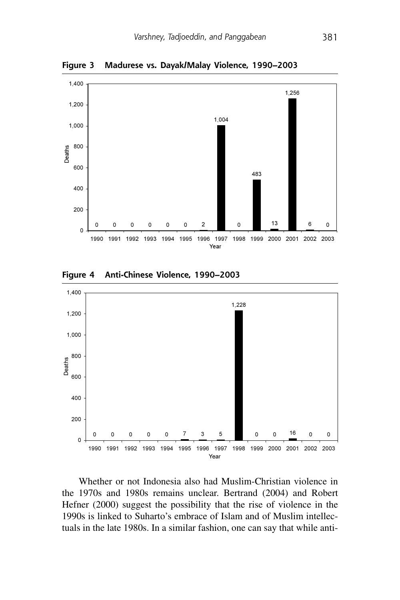Figure 3 **Figure 3 Madurese vs. Dayak/Malay Violence, 1990–2003**



Figure 4 **Figure 4 Anti-Chinese Violence, 1990–2003**



Whether or not Indonesia also had Muslim-Christian violence in the 1970s and 1980s remains unclear. Bertrand (2004) and Robert Hefner (2000) suggest the possibility that the rise of violence in the 1990s is linked to Suharto's embrace of Islam and of Muslim intellectuals in the late 1980s. In a similar fashion, one can say that while anti-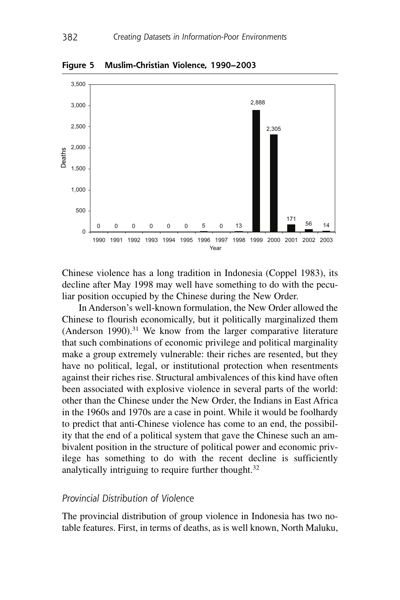

**Figure 5 Muslim-Christian Violence, 1990–2003**

Chinese violence has a long tradition in Indonesia (Coppel 1983), its decline after May 1998 may well have something to do with the peculiar position occupied by the Chinese during the New Order.

In Anderson's well-known formulation, the New Order allowed the Chinese to flourish economically, but it politically marginalized them (Anderson 1990).<sup>31</sup> We know from the larger comparative literature that such combinations of economic privilege and political marginality make a group extremely vulnerable: their riches are resented, but they have no political, legal, or institutional protection when resentments against their riches rise. Structural ambivalences of this kind have often been associated with explosive violence in several parts of the world: other than the Chinese under the New Order, the Indians in East Africa in the 1960s and 1970s are a case in point. While it would be foolhardy to predict that anti-Chinese violence has come to an end, the possibility that the end of a political system that gave the Chinese such an ambivalent position in the structure of political power and economic privilege has something to do with the recent decline is sufficiently analytically intriguing to require further thought.<sup>32</sup>

### *Provincial Distribution of Violence*

The provincial distribution of group violence in Indonesia has two notable features. First, in terms of deaths, as is well known, North Maluku,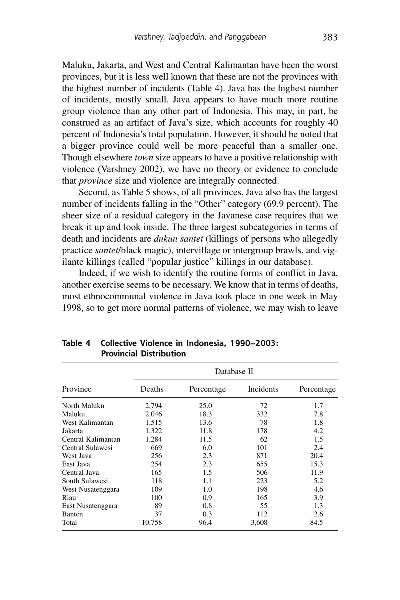Maluku, Jakarta, and West and Central Kalimantan have been the worst provinces, but it is less well known that these are not the provinces with the highest number of incidents (Table 4). Java has the highest number of incidents, mostly small. Java appears to have much more routine group violence than any other part of Indonesia. This may, in part, be construed as an artifact of Java's size, which accounts for roughly 40 percent of Indonesia's total population. However, it should be noted that a bigger province could well be more peaceful than a smaller one. Though elsewhere *town* size appears to have a positive relationship with violence (Varshney 2002), we have no theory or evidence to conclude that *province* size and violence are integrally connected.

Second, as Table 5 shows, of all provinces, Java also has the largest number of incidents falling in the "Other" category (69.9 percent). The sheer size of a residual category in the Javanese case requires that we break it up and look inside. The three largest subcategories in terms of death and incidents are *dukun santet* (killings of persons who allegedly practice *santet*/black magic), intervillage or intergroup brawls, and vigilante killings (called "popular justice" killings in our database).

Indeed, if we wish to identify the routine forms of conflict in Java, another exercise seems to be necessary. We know that in terms of deaths, most ethnocommunal violence in Java took place in one week in May 1998, so to get more normal patterns of violence, we may wish to leave

|                    |        | Database II |           |            |
|--------------------|--------|-------------|-----------|------------|
| Province           | Deaths | Percentage  | Incidents | Percentage |
| North Maluku       | 2,794  | 25.0        | 72        | 1.7        |
| Maluku             | 2,046  | 18.3        | 332       | 7.8        |
| West Kalimantan    | 1,515  | 13.6        | 78        | 1.8        |
| Jakarta            | 1,322  | 11.8        | 178       | 4.2        |
| Central Kalimantan | 1,284  | 11.5        | 62        | 1.5        |
| Central Sulawesi   | 669    | 6.0         | 101       | 2.4        |
| West Java          | 256    | 2.3         | 871       | 20.4       |
| East Java          | 254    | 2.3         | 655       | 15.3       |
| Central Java       | 165    | 1.5         | 506       | 11.9       |
| South Sulawesi     | 118    | 1.1         | 223       | 5.2        |
| West Nusatenggara  | 109    | 1.0         | 198       | 4.6        |
| Riau               | 100    | 0.9         | 165       | 3.9        |
| East Nusatenggara  | 89     | 0.8         | 55        | 1.3        |
| <b>Banten</b>      | 37     | 0.3         | 112       | 2.6        |
| Total              | 10.758 | 96.4        | 3,608     | 84.5       |

**Table 4 Collective Violence in Indonesia, 1990–2003: Provincial Distribution**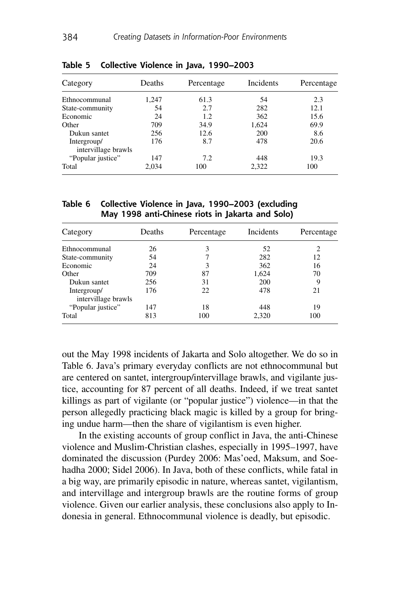| Category                           | Deaths | Percentage | Incidents | Percentage |
|------------------------------------|--------|------------|-----------|------------|
| Ethnocommunal                      | 1.247  | 61.3       | 54        | 2.3        |
| State-community                    | 54     | 2.7        | 282       | 12.1       |
| Economic                           | 24     | 1.2        | 362       | 15.6       |
| Other                              | 709    | 34.9       | 1,624     | 69.9       |
| Dukun santet                       | 256    | 12.6       | 200       | 8.6        |
| Intergroup/<br>intervillage brawls | 176    | 8.7        | 478       | 20.6       |
| "Popular justice"                  | 147    | 7.2        | 448       | 19.3       |
| Total                              | 2.034  | 100        | 2,322     | 100        |

**Table 5 Collective Violence in Java, 1990–2003** 

#### **Table 6 Collective Violence in Java, 1990–2003 (excluding May 1998 anti-Chinese riots in Jakarta and Solo)**

| Category                           | Deaths | Percentage | Incidents | Percentage |
|------------------------------------|--------|------------|-----------|------------|
| Ethnocommunal                      | 26     | 3          | 52        |            |
| State-community                    | 54     |            | 282       | 12         |
| Economic                           | 24     |            | 362       | 16         |
| Other                              | 709    | 87         | 1,624     | 70         |
| Dukun santet                       | 256    | 31         | 200       | 9          |
| Intergroup/<br>intervillage brawls | 176    | 22         | 478       | 21         |
| "Popular justice"                  | 147    | 18         | 448       | 19         |
| Total                              | 813    | 100        | 2,320     | 100        |

out the May 1998 incidents of Jakarta and Solo altogether. We do so in Table 6. Java's primary everyday conflicts are not ethnocommunal but are centered on santet, intergroup/intervillage brawls, and vigilante justice, accounting for 87 percent of all deaths. Indeed, if we treat santet killings as part of vigilante (or "popular justice") violence—in that the person allegedly practicing black magic is killed by a group for bringing undue harm—then the share of vigilantism is even higher.

In the existing accounts of group conflict in Java, the anti-Chinese violence and Muslim-Christian clashes, especially in 1995–1997, have dominated the discussion (Purdey 2006: Mas'oed, Maksum, and Soehadha 2000; Sidel 2006). In Java, both of these conflicts, while fatal in a big way, are primarily episodic in nature, whereas santet, vigilantism, and intervillage and intergroup brawls are the routine forms of group violence. Given our earlier analysis, these conclusions also apply to Indonesia in general. Ethnocommunal violence is deadly, but episodic.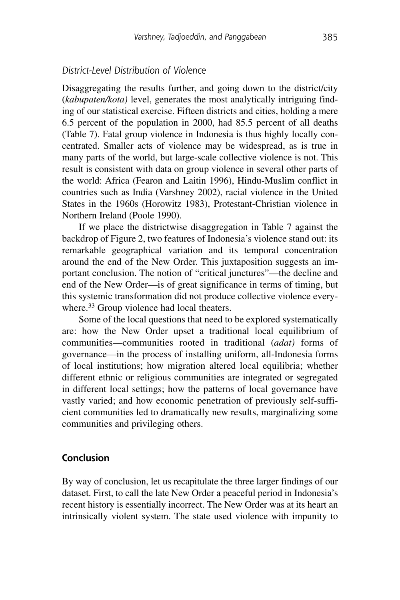### *District-Level Distribution of Violence*

Disaggregating the results further, and going down to the district/city (*kabupaten/kota)* level, generates the most analytically intriguing finding of our statistical exercise. Fifteen districts and cities, holding a mere 6.5 percent of the population in 2000, had 85.5 percent of all deaths (Table 7). Fatal group violence in Indonesia is thus highly locally concentrated. Smaller acts of violence may be widespread, as is true in many parts of the world, but large-scale collective violence is not. This result is consistent with data on group violence in several other parts of the world: Africa (Fearon and Laitin 1996), Hindu-Muslim conflict in countries such as India (Varshney 2002), racial violence in the United States in the 1960s (Horowitz 1983), Protestant-Christian violence in Northern Ireland (Poole 1990).

If we place the districtwise disaggregation in Table 7 against the backdrop of Figure 2, two features of Indonesia's violence stand out: its remarkable geographical variation and its temporal concentration around the end of the New Order. This juxtaposition suggests an important conclusion. The notion of "critical junctures"—the decline and end of the New Order—is of great significance in terms of timing, but this systemic transformation did not produce collective violence everywhere.<sup>33</sup> Group violence had local theaters.

Some of the local questions that need to be explored systematically are: how the New Order upset a traditional local equilibrium of communities—communities rooted in traditional (*adat)* forms of governance—in the process of installing uniform, all-Indonesia forms of local institutions; how migration altered local equilibria; whether different ethnic or religious communities are integrated or segregated in different local settings; how the patterns of local governance have vastly varied; and how economic penetration of previously self-sufficient communities led to dramatically new results, marginalizing some communities and privileging others.

### **Conclusion**

By way of conclusion, let us recapitulate the three larger findings of our dataset. First, to call the late New Order a peaceful period in Indonesia's recent history is essentially incorrect. The New Order was at its heart an intrinsically violent system. The state used violence with impunity to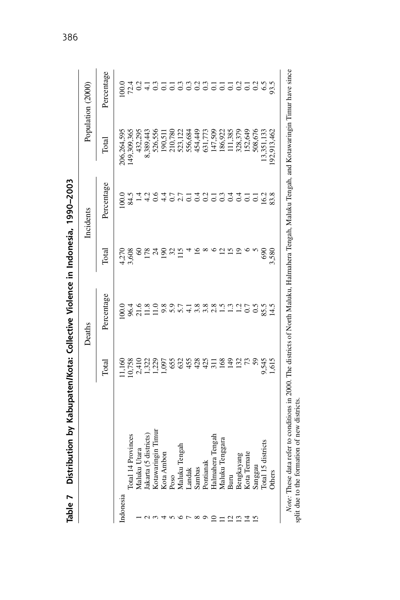|                         |                               | Deaths                                               |                 | Incidents        |                  |                                                                                                                                                           | Population (2000)                                |
|-------------------------|-------------------------------|------------------------------------------------------|-----------------|------------------|------------------|-----------------------------------------------------------------------------------------------------------------------------------------------------------|--------------------------------------------------|
|                         |                               | Total                                                | Percentage      | $\Gamma$ otal    | Percentage       | Total                                                                                                                                                     | Percentage                                       |
| Indonesia               |                               |                                                      | 100.0           |                  | $\overline{00}$  | 06,264,595                                                                                                                                                |                                                  |
|                         | Total 14 Provinces            | 11,160<br>10,758<br>2,410<br>2,322<br>1,097<br>1,097 | 96.4            | 4,270<br>3,608   | 84.5             | 149,309,365                                                                                                                                               | 72.4                                             |
|                         | Maluku Utara                  |                                                      | 21.6            | $\frac{6}{3}$    |                  | 432,295                                                                                                                                                   |                                                  |
|                         | Jakarta (5 districts)         |                                                      | 11.8            |                  |                  | 8,389,443                                                                                                                                                 |                                                  |
|                         | Kotawaringin Timur            |                                                      | $\frac{1}{2}$   | $\frac{8}{24}$   |                  | 526,556                                                                                                                                                   |                                                  |
|                         | Kota Ambon                    |                                                      | 9.8             | $\overline{190}$ |                  |                                                                                                                                                           |                                                  |
|                         | Poso                          |                                                      |                 |                  |                  |                                                                                                                                                           |                                                  |
|                         | Maluku Tengah                 |                                                      |                 | 115              |                  | $\begin{array}{l} 190,511 \\ 210,780 \\ 521,122 \\ 536,684 \\ 556,684 \\ 454,449 \\ 631,773 \\ 147,509 \\ 149 \\ 142,509 \\ 22 \\ 186,922 \\ \end{array}$ | 0.3                                              |
|                         | Landak<br>Sambas              |                                                      |                 |                  |                  |                                                                                                                                                           | 0.3                                              |
|                         |                               | 358311<br>858311                                     | 51288<br>51288  |                  | 21421<br>2000    |                                                                                                                                                           |                                                  |
|                         | Pontianak                     |                                                      |                 |                  |                  |                                                                                                                                                           | $\begin{array}{c} 2.3 \\ 0.3 \\ 0.1 \end{array}$ |
|                         | Halmahera Tengar              |                                                      | 2.8             |                  |                  |                                                                                                                                                           |                                                  |
| $\Xi \Omega \Omega \Xi$ | Maluku Tenggara               | 168                                                  | $\ddot{5}$      |                  | $rac{3}{0.4}$    |                                                                                                                                                           | $\overline{c}$                                   |
|                         | Buru                          | 149                                                  | $\frac{13}{2}$  |                  |                  | 111,385                                                                                                                                                   | $\overline{c}$                                   |
|                         | Bengkayang                    | $\frac{132}{72}$                                     | $\overline{12}$ |                  | $\overline{0}$   | 328,379                                                                                                                                                   | $\frac{2}{5}$                                    |
|                         | Kota Ternate                  |                                                      | 0.7             |                  | $\overline{c}$   | 152,649                                                                                                                                                   |                                                  |
|                         |                               |                                                      | $\frac{5}{2}$   |                  | $\overline{0}$ . | 508,676                                                                                                                                                   | $rac{2}{6}$                                      |
|                         | Sanggau<br>Total 15 districts | 9,545                                                | 85.5            | 690              | 16.2<br>83.8     | 13,351,133                                                                                                                                                |                                                  |
|                         | <b>Others</b>                 | 515                                                  | 14.5            | 3,580            |                  | 92,913,462                                                                                                                                                | 93.5                                             |

Note: These data refer to conditions in 2000. The districts of North Maluku, Halmahera Tengah, Maluku Tengah, and Kotawaringin Timur have since<br>split due to the formation of new districts. *Note:* These data refer to conditions in 2000. The districts of North Maluku, Halmahera Tengah, Maluku Tengah, and Kotawaringin Timur have since split due to the formation of new districts.

**Table 7 Distribution by Kabupaten/Kota: Collective Violence in Indonesia, 1990–2003**

Table 7

Distribution by Kabupaten/Kota: Collective Violence in Indonesia, 1990-2003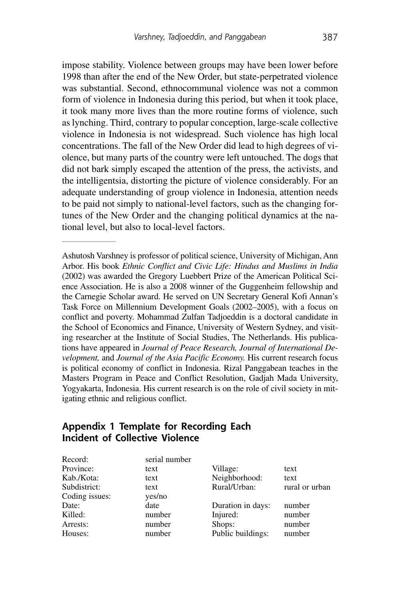impose stability. Violence between groups may have been lower before 1998 than after the end of the New Order, but state-perpetrated violence was substantial. Second, ethnocommunal violence was not a common form of violence in Indonesia during this period, but when it took place, it took many more lives than the more routine forms of violence, such as lynching. Third, contrary to popular conception, large-scale collective violence in Indonesia is not widespread. Such violence has high local concentrations. The fall of the New Order did lead to high degrees of violence, but many parts of the country were left untouched. The dogs that did not bark simply escaped the attention of the press, the activists, and the intelligentsia, distorting the picture of violence considerably. For an adequate understanding of group violence in Indonesia, attention needs to be paid not simply to national-level factors, such as the changing fortunes of the New Order and the changing political dynamics at the national level, but also to local-level factors.

Ashutosh Varshney is professor of political science, University of Michigan, Ann Arbor. His book *Ethnic Conflict and Civic Life: Hindus and Muslims in India* (2002) was awarded the Gregory Luebbert Prize of the American Political Science Association. He is also a 2008 winner of the Guggenheim fellowship and the Carnegie Scholar award. He served on UN Secretary General Kofi Annan's Task Force on Millennium Development Goals (2002–2005), with a focus on conflict and poverty. Mohammad Zulfan Tadjoeddin is a doctoral candidate in the School of Economics and Finance, University of Western Sydney, and visiting researcher at the Institute of Social Studies, The Netherlands. His publications have appeared in *Journal of Peace Research, Journal of International Development,* and *Journal of the Asia Pacific Economy.* His current research focus is political economy of conflict in Indonesia. Rizal Panggabean teaches in the Masters Program in Peace and Conflict Resolution, Gadjah Mada University, Yogyakarta, Indonesia. His current research is on the role of civil society in mitigating ethnic and religious conflict.

### **Appendix 1 Template for Recording Each Incident of Collective Violence**

| Record:        | serial number |                   |                |
|----------------|---------------|-------------------|----------------|
| Province:      | text          | Village:          | text           |
| Kab./Kota:     | text          | Neighborhood:     | text           |
| Subdistrict:   | text          | Rural/Urban:      | rural or urban |
| Coding issues: | yes/no        |                   |                |
| Date:          | date          | Duration in days: | number         |
| Killed:        | number        | Injured:          | number         |
| Arrests:       | number        | Shops:            | number         |
| Houses:        | number        | Public buildings: | number         |
|                |               |                   |                |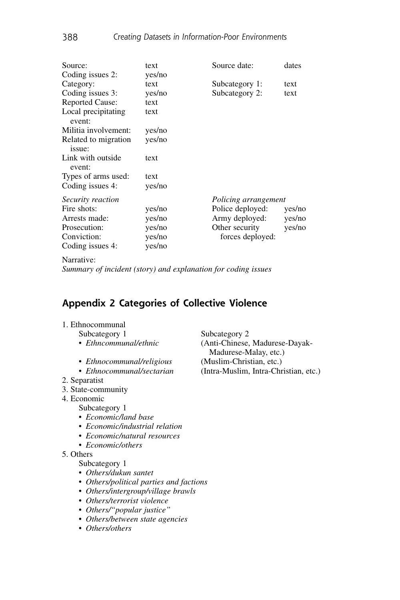| Source:                        | text   | Source date:         | dates  |
|--------------------------------|--------|----------------------|--------|
| Coding issues 2:               | yes/no |                      |        |
| Category:                      | text   | Subcategory 1:       | text   |
| Coding issues 3:               | yes/no | Subcategory 2:       | text   |
| <b>Reported Cause:</b>         | text   |                      |        |
| Local precipitating<br>event:  | text   |                      |        |
| Militia involvement:           | yes/no |                      |        |
| Related to migration<br>issue: | yes/no |                      |        |
| Link with outside<br>event:    | text   |                      |        |
| Types of arms used:            | text   |                      |        |
| Coding issues 4:               | yes/no |                      |        |
| Security reaction              |        | Policing arrangement |        |
| Fire shots:                    | yes/no | Police deployed:     | yes/no |
| Arrests made:                  | yes/no | Army deployed:       | yes/no |
| Prosecution:                   | yes/no | Other security       | yes/no |
| Conviction:                    | yes/no | forces deployed:     |        |
| Coding issues 4:               | yes/no |                      |        |

Narrative:

*Summary of incident (story) and explanation for coding issues*

# **Appendix 2 Categories of Collective Violence**

| 1. Ethnocommunal |
|------------------|
|                  |

- -
	- *Ethnocommunal/religious* (Muslim-Christian, etc.)
	-
- 2. Separatist
- 3. State-community
- 4. Economic
	- Subcategory 1
	- *Economic/land base*
	- *Economic/industrial relation*
	- *Economic/natural resources*
	- *Economic/others*
- 5. Others

#### Subcategory 1

- *Others/dukun santet*
- *Others/political parties and factions*
- *Others/intergroup/village brawls*
- *Others/terrorist violence*
- *Others/"popular justice"*
- *Others/between state agencies*
- *Others/others*

Subcategory 1 Subcategory 2 • *Ethncommunal/ethnic* (Anti-Chinese, Madurese-Dayak-Madurese-Malay, etc.) • *Ethnocommunal/sectarian* (Intra-Muslim, Intra-Christian, etc.)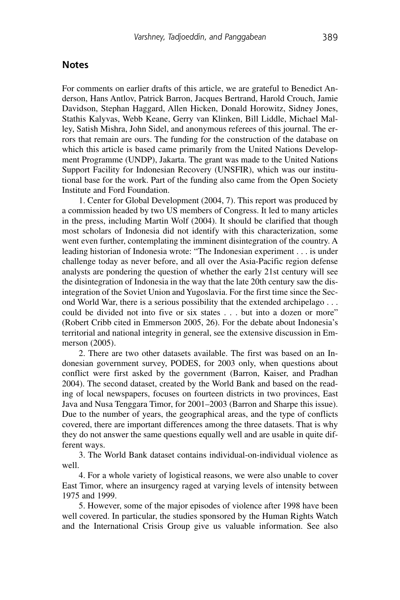### **Notes**

For comments on earlier drafts of this article, we are grateful to Benedict Anderson, Hans Antlov, Patrick Barron, Jacques Bertrand, Harold Crouch, Jamie Davidson, Stephan Haggard, Allen Hicken, Donald Horowitz, Sidney Jones, Stathis Kalyvas, Webb Keane, Gerry van Klinken, Bill Liddle, Michael Malley, Satish Mishra, John Sidel, and anonymous referees of this journal. The errors that remain are ours. The funding for the construction of the database on which this article is based came primarily from the United Nations Development Programme (UNDP), Jakarta. The grant was made to the United Nations Support Facility for Indonesian Recovery (UNSFIR), which was our institutional base for the work. Part of the funding also came from the Open Society Institute and Ford Foundation.

1. Center for Global Development (2004, 7). This report was produced by a commission headed by two US members of Congress. It led to many articles in the press, including Martin Wolf (2004). It should be clarified that though most scholars of Indonesia did not identify with this characterization, some went even further, contemplating the imminent disintegration of the country. A leading historian of Indonesia wrote: "The Indonesian experiment . . . is under challenge today as never before, and all over the Asia-Pacific region defense analysts are pondering the question of whether the early 21st century will see the disintegration of Indonesia in the way that the late 20th century saw the disintegration of the Soviet Union and Yugoslavia. For the first time since the Second World War, there is a serious possibility that the extended archipelago . . . could be divided not into five or six states . . . but into a dozen or more" (Robert Cribb cited in Emmerson 2005, 26). For the debate about Indonesia's territorial and national integrity in general, see the extensive discussion in Emmerson (2005).

2. There are two other datasets available. The first was based on an Indonesian government survey, PODES, for 2003 only, when questions about conflict were first asked by the government (Barron, Kaiser, and Pradhan 2004). The second dataset, created by the World Bank and based on the reading of local newspapers, focuses on fourteen districts in two provinces, East Java and Nusa Tenggara Timor, for 2001–2003 (Barron and Sharpe this issue). Due to the number of years, the geographical areas, and the type of conflicts covered, there are important differences among the three datasets. That is why they do not answer the same questions equally well and are usable in quite different ways.

3. The World Bank dataset contains individual-on-individual violence as well.

4. For a whole variety of logistical reasons, we were also unable to cover East Timor, where an insurgency raged at varying levels of intensity between 1975 and 1999.

5. However, some of the major episodes of violence after 1998 have been well covered. In particular, the studies sponsored by the Human Rights Watch and the International Crisis Group give us valuable information. See also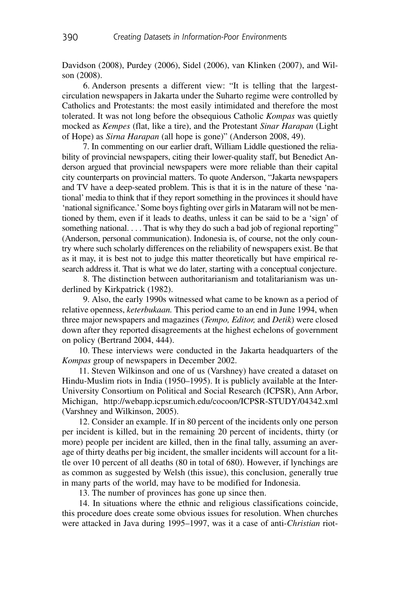Davidson (2008), Purdey (2006), Sidel (2006), van Klinken (2007), and Wilson (2008).

6. Anderson presents a different view: "It is telling that the largestcirculation newspapers in Jakarta under the Suharto regime were controlled by Catholics and Protestants: the most easily intimidated and therefore the most tolerated. It was not long before the obsequious Catholic *Kompas* was quietly mocked as *Kempes* (flat, like a tire), and the Protestant *Sinar Harapan* (Light of Hope) as *Sirna Harapan* (all hope is gone)" (Anderson 2008, 49).

7. In commenting on our earlier draft, William Liddle questioned the reliability of provincial newspapers, citing their lower-quality staff, but Benedict Anderson argued that provincial newspapers were more reliable than their capital city counterparts on provincial matters. To quote Anderson, "Jakarta newspapers and TV have a deep-seated problem. This is that it is in the nature of these 'national' media to think that if they report something in the provinces it should have 'national significance.'Some boys fighting over girls in Mataram will not be mentioned by them, even if it leads to deaths, unless it can be said to be a 'sign' of something national. . . . That is why they do such a bad job of regional reporting" (Anderson, personal communication). Indonesia is, of course, not the only country where such scholarly differences on the reliability of newspapers exist. Be that as it may, it is best not to judge this matter theoretically but have empirical research address it. That is what we do later, starting with a conceptual conjecture.

8. The distinction between authoritarianism and totalitarianism was underlined by Kirkpatrick (1982).

9. Also, the early 1990s witnessed what came to be known as a period of relative openness, *keterbukaan.* This period came to an end in June 1994, when three major newspapers and magazines (*Tempo, Editor,* and *Detik*) were closed down after they reported disagreements at the highest echelons of government on policy (Bertrand 2004, 444).

10. These interviews were conducted in the Jakarta headquarters of the *Kompas* group of newspapers in December 2002.

11. Steven Wilkinson and one of us (Varshney) have created a dataset on Hindu-Muslim riots in India (1950–1995). It is publicly available at the Inter-University Consortium on Political and Social Research (ICPSR), Ann Arbor, Michigan, http://webapp.icpsr.umich.edu/cocoon/ICPSR-STUDY/04342.xml (Varshney and Wilkinson, 2005).

12. Consider an example. If in 80 percent of the incidents only one person per incident is killed, but in the remaining 20 percent of incidents, thirty (or more) people per incident are killed, then in the final tally, assuming an average of thirty deaths per big incident, the smaller incidents will account for a little over 10 percent of all deaths (80 in total of 680). However, if lynchings are as common as suggested by Welsh (this issue), this conclusion, generally true in many parts of the world, may have to be modified for Indonesia.

13. The number of provinces has gone up since then.

14. In situations where the ethnic and religious classifications coincide, this procedure does create some obvious issues for resolution. When churches were attacked in Java during 1995–1997, was it a case of anti-*Christian* riot-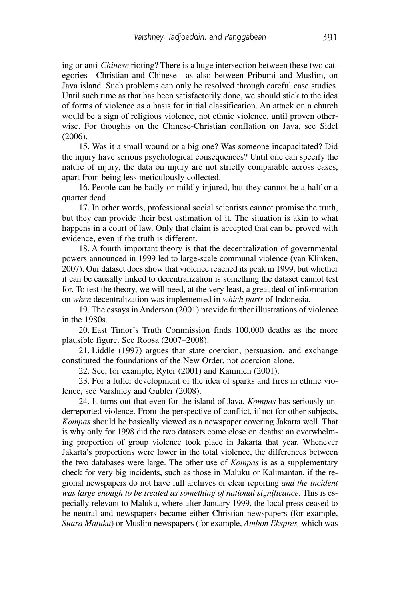ing or anti-*Chinese* rioting? There is a huge intersection between these two categories—Christian and Chinese—as also between Pribumi and Muslim, on Java island. Such problems can only be resolved through careful case studies. Until such time as that has been satisfactorily done, we should stick to the idea of forms of violence as a basis for initial classification. An attack on a church would be a sign of religious violence, not ethnic violence, until proven otherwise. For thoughts on the Chinese-Christian conflation on Java, see Sidel (2006).

15. Was it a small wound or a big one? Was someone incapacitated? Did the injury have serious psychological consequences? Until one can specify the nature of injury, the data on injury are not strictly comparable across cases, apart from being less meticulously collected.

16. People can be badly or mildly injured, but they cannot be a half or a quarter dead.

17. In other words, professional social scientists cannot promise the truth, but they can provide their best estimation of it. The situation is akin to what happens in a court of law. Only that claim is accepted that can be proved with evidence, even if the truth is different.

18. A fourth important theory is that the decentralization of governmental powers announced in 1999 led to large-scale communal violence (van Klinken, 2007). Our dataset does show that violence reached its peak in 1999, but whether it can be causally linked to decentralization is something the dataset cannot test for. To test the theory, we will need, at the very least, a great deal of information on *when* decentralization was implemented in *which parts* of Indonesia.

19. The essays in Anderson (2001) provide further illustrations of violence in the 1980s.

20. East Timor's Truth Commission finds 100,000 deaths as the more plausible figure. See Roosa (2007–2008).

21. Liddle (1997) argues that state coercion, persuasion, and exchange constituted the foundations of the New Order, not coercion alone.

22. See, for example, Ryter (2001) and Kammen (2001).

23. For a fuller development of the idea of sparks and fires in ethnic violence, see Varshney and Gubler (2008).

24. It turns out that even for the island of Java, *Kompas* has seriously underreported violence. From the perspective of conflict, if not for other subjects, *Kompas* should be basically viewed as a newspaper covering Jakarta well. That is why only for 1998 did the two datasets come close on deaths: an overwhelming proportion of group violence took place in Jakarta that year. Whenever Jakarta's proportions were lower in the total violence, the differences between the two databases were large. The other use of *Kompas* is as a supplementary check for very big incidents, such as those in Maluku or Kalimantan, if the regional newspapers do not have full archives or clear reporting *and the incident was large enough to be treated as something of national significance*. This is especially relevant to Maluku, where after January 1999, the local press ceased to be neutral and newspapers became either Christian newspapers (for example, *Suara Maluku*) or Muslim newspapers (for example, *Ambon Ekspres,* which was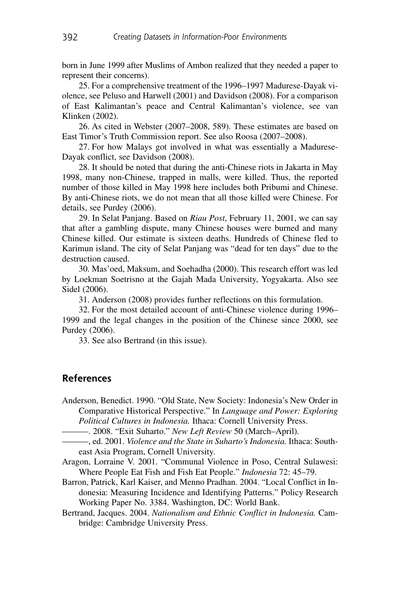born in June 1999 after Muslims of Ambon realized that they needed a paper to represent their concerns).

25. For a comprehensive treatment of the 1996–1997 Madurese-Dayak violence, see Peluso and Harwell (2001) and Davidson (2008). For a comparison of East Kalimantan's peace and Central Kalimantan's violence, see van Klinken (2002).

26. As cited in Webster (2007–2008, 589). These estimates are based on East Timor's Truth Commission report. See also Roosa (2007–2008).

27. For how Malays got involved in what was essentially a Madurese-Dayak conflict, see Davidson (2008).

28. It should be noted that during the anti-Chinese riots in Jakarta in May 1998, many non-Chinese, trapped in malls, were killed. Thus, the reported number of those killed in May 1998 here includes both Pribumi and Chinese. By anti-Chinese riots, we do not mean that all those killed were Chinese. For details, see Purdey (2006).

29. In Selat Panjang. Based on *Riau Post*, February 11, 2001, we can say that after a gambling dispute, many Chinese houses were burned and many Chinese killed. Our estimate is sixteen deaths. Hundreds of Chinese fled to Karimun island. The city of Selat Panjang was "dead for ten days" due to the destruction caused.

30. Mas'oed, Maksum, and Soehadha (2000). This research effort was led by Loekman Soetrisno at the Gajah Mada University, Yogyakarta. Also see Sidel (2006).

31. Anderson (2008) provides further reflections on this formulation.

32. For the most detailed account of anti-Chinese violence during 1996– 1999 and the legal changes in the position of the Chinese since 2000, see Purdey (2006).

33. See also Bertrand (in this issue).

### **References**

- Anderson, Benedict. 1990. "Old State, New Society: Indonesia's New Order in Comparative Historical Perspective." In *Language and Power: Exploring Political Cultures in Indonesia.* Ithaca: Cornell University Press.
	- ———. 2008. "Exit Suharto." *New Left Review* 50 (March–April).
- ———, ed. 2001. *Violence and the State in Suharto's Indonesia.* Ithaca: Southeast Asia Program, Cornell University.
- Aragon, Lorraine V. 2001. "Communal Violence in Poso, Central Sulawesi: Where People Eat Fish and Fish Eat People." *Indonesia* 72: 45–79.
- Barron, Patrick, Karl Kaiser, and Menno Pradhan. 2004. "Local Conflict in Indonesia: Measuring Incidence and Identifying Patterns." Policy Research Working Paper No. 3384. Washington, DC: World Bank.
- Bertrand, Jacques. 2004. *Nationalism and Ethnic Conflict in Indonesia.* Cambridge: Cambridge University Press.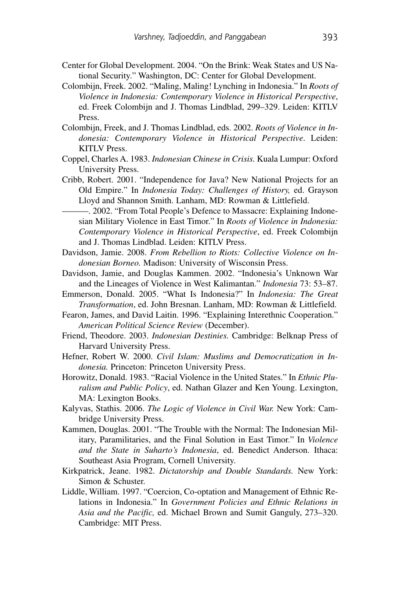- Center for Global Development. 2004. "On the Brink: Weak States and US National Security." Washington, DC: Center for Global Development.
- Colombijn, Freek. 2002. "Maling, Maling! Lynching in Indonesia." In *Roots of Violence in Indonesia: Contemporary Violence in Historical Perspective*, ed. Freek Colombijn and J. Thomas Lindblad, 299–329. Leiden: KITLV Press.
- Colombijn, Freek, and J. Thomas Lindblad, eds. 2002. *Roots of Violence in Indonesia: Contemporary Violence in Historical Perspective*. Leiden: KITLV Press.
- Coppel, Charles A. 1983. *Indonesian Chinese in Crisis.* Kuala Lumpur: Oxford University Press.
- Cribb, Robert. 2001. "Independence for Java? New National Projects for an Old Empire." In *Indonesia Today: Challenges of History,* ed. Grayson Lloyd and Shannon Smith. Lanham, MD: Rowman & Littlefield.
	- ———. 2002. "From Total People's Defence to Massacre: Explaining Indonesian Military Violence in East Timor." In *Roots of Violence in Indonesia: Contemporary Violence in Historical Perspective*, ed. Freek Colombijn and J. Thomas Lindblad. Leiden: KITLV Press.
- Davidson, Jamie. 2008. *From Rebellion to Riots: Collective Violence on Indonesian Borneo.* Madison: University of Wisconsin Press.
- Davidson, Jamie, and Douglas Kammen. 2002. "Indonesia's Unknown War and the Lineages of Violence in West Kalimantan." *Indonesia* 73: 53–87.
- Emmerson, Donald. 2005. "What Is Indonesia?" In *Indonesia: The Great Transformation*, ed. John Bresnan. Lanham, MD: Rowman & Littlefield.
- Fearon, James, and David Laitin. 1996. "Explaining Interethnic Cooperation." *American Political Science Review* (December).
- Friend, Theodore. 2003. *Indonesian Destinies.* Cambridge: Belknap Press of Harvard University Press.
- Hefner, Robert W. 2000. *Civil Islam: Muslims and Democratization in Indonesia.* Princeton: Princeton University Press.
- Horowitz, Donald. 1983. "Racial Violence in the United States." In *Ethnic Pluralism and Public Policy*, ed. Nathan Glazer and Ken Young. Lexington, MA: Lexington Books.
- Kalyvas, Stathis. 2006. *The Logic of Violence in Civil War.* New York: Cambridge University Press.
- Kammen, Douglas. 2001. "The Trouble with the Normal: The Indonesian Military, Paramilitaries, and the Final Solution in East Timor." In *Violence and the State in Suharto's Indonesia*, ed. Benedict Anderson. Ithaca: Southeast Asia Program, Cornell University.
- Kirkpatrick, Jeane. 1982. *Dictatorship and Double Standards.* New York: Simon & Schuster.
- Liddle, William. 1997. "Coercion, Co-optation and Management of Ethnic Relations in Indonesia." In *Government Policies and Ethnic Relations in Asia and the Pacific,* ed. Michael Brown and Sumit Ganguly, 273–320. Cambridge: MIT Press.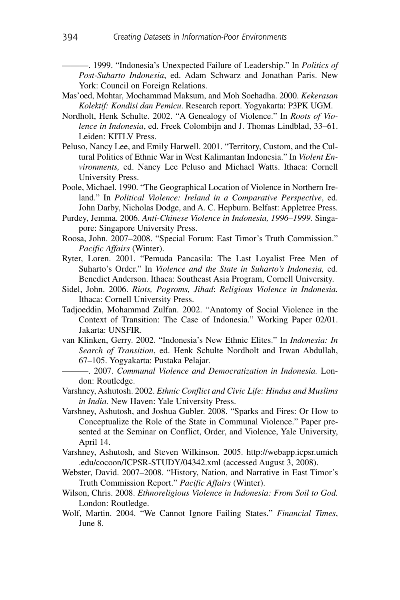———. 1999. "Indonesia's Unexpected Failure of Leadership." In *Politics of Post-Suharto Indonesia*, ed. Adam Schwarz and Jonathan Paris. New York: Council on Foreign Relations.

- Mas'oed, Mohtar, Mochammad Maksum, and Moh Soehadha. 2000. *Kekerasan Kolektif: Kondisi dan Pemicu*. Research report. Yogyakarta: P3PK UGM.
- Nordholt, Henk Schulte. 2002. "A Genealogy of Violence." In *Roots of Violence in Indonesia*, ed. Freek Colombijn and J. Thomas Lindblad, 33–61. Leiden: KITLV Press.
- Peluso, Nancy Lee, and Emily Harwell. 2001. "Territory, Custom, and the Cultural Politics of Ethnic War in West Kalimantan Indonesia." In *Violent Environments,* ed. Nancy Lee Peluso and Michael Watts. Ithaca: Cornell University Press.
- Poole, Michael. 1990. "The Geographical Location of Violence in Northern Ireland." In *Political Violence: Ireland in a Comparative Perspective*, ed. John Darby, Nicholas Dodge, and A. C. Hepburn. Belfast: Appletree Press.
- Purdey, Jemma. 2006. *Anti-Chinese Violence in Indonesia, 1996–1999.* Singapore: Singapore University Press.
- Roosa, John. 2007–2008. "Special Forum: East Timor's Truth Commission." *Pacific Affairs* (Winter).
- Ryter, Loren. 2001. "Pemuda Pancasila: The Last Loyalist Free Men of Suharto's Order." In *Violence and the State in Suharto's Indonesia,* ed. Benedict Anderson. Ithaca: Southeast Asia Program, Cornell University.
- Sidel, John. 2006. *Riots, Pogroms, Jihad*: *Religious Violence in Indonesia.* Ithaca: Cornell University Press.
- Tadjoeddin, Mohammad Zulfan. 2002. "Anatomy of Social Violence in the Context of Transition: The Case of Indonesia." Working Paper 02/01. Jakarta: UNSFIR.
- van Klinken, Gerry. 2002. "Indonesia's New Ethnic Elites." In *Indonesia: In Search of Transition*, ed. Henk Schulte Nordholt and Irwan Abdullah, 67–105. Yogyakarta: Pustaka Pelajar.
	- ———. 2007. *Communal Violence and Democratization in Indonesia.* London: Routledge.
- Varshney, Ashutosh. 2002. *Ethnic Conflict and Civic Life: Hindus and Muslims in India.* New Haven: Yale University Press.
- Varshney, Ashutosh, and Joshua Gubler. 2008. "Sparks and Fires: Or How to Conceptualize the Role of the State in Communal Violence." Paper presented at the Seminar on Conflict, Order, and Violence, Yale University, April 14.
- Varshney, Ashutosh, and Steven Wilkinson. 2005. http://webapp.icpsr.umich .edu/cocoon/ICPSR-STUDY/04342.xml (accessed August 3, 2008).
- Webster, David. 2007–2008. "History, Nation, and Narrative in East Timor's Truth Commission Report." *Pacific Affairs* (Winter).
- Wilson, Chris. 2008. *Ethnoreligious Violence in Indonesia: From Soil to God.* London: Routledge.
- Wolf, Martin. 2004. "We Cannot Ignore Failing States." *Financial Times*, June 8.